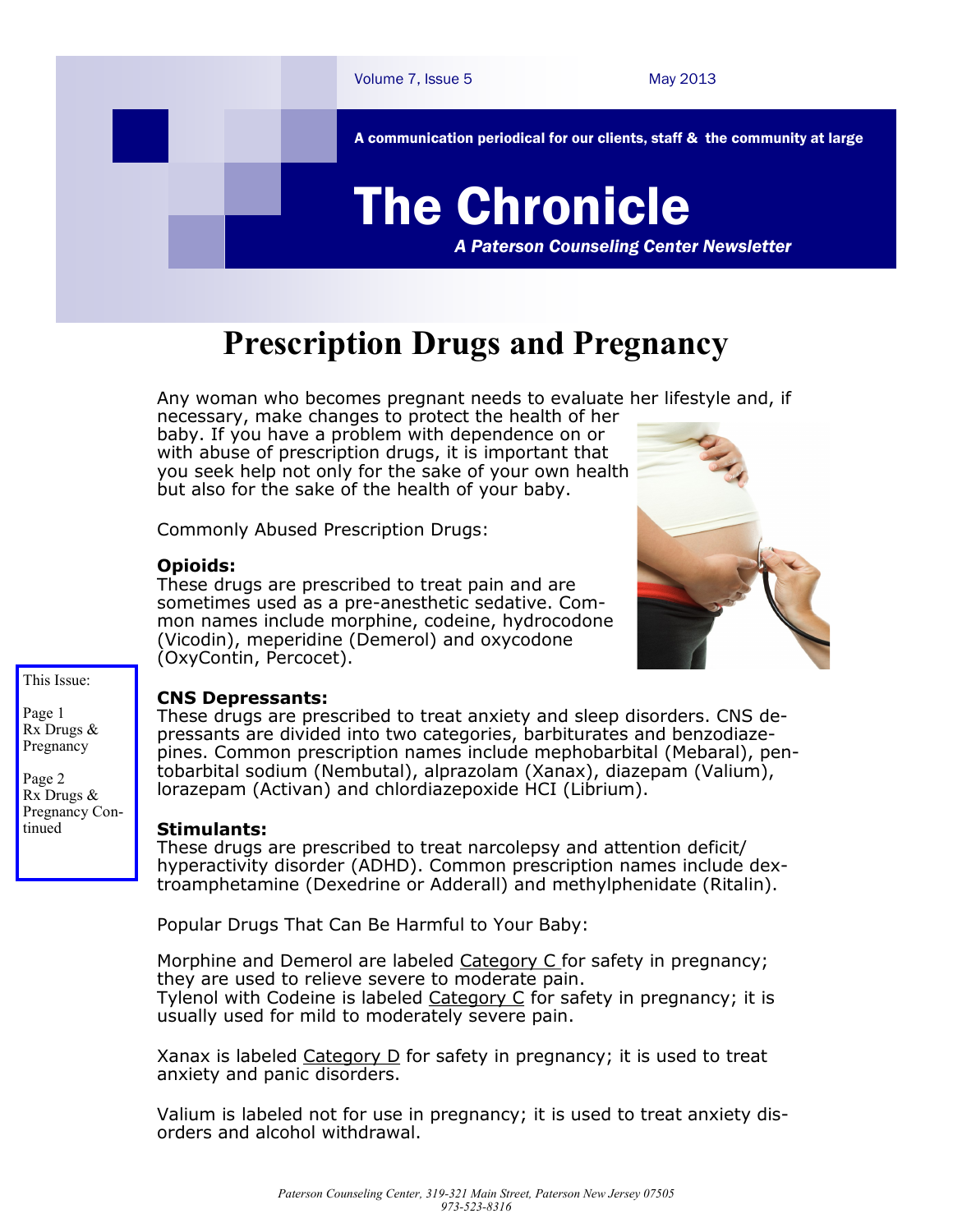

# **Prescription Drugs and Pregnancy**

Any woman who becomes pregnant needs to evaluate her lifestyle and, if necessary, make changes to protect the health of her

baby. If you have a problem with dependence on or with abuse of prescription drugs, it is important that you seek help not only for the sake of your own health but also for the sake of the health of your baby.

Commonly Abused Prescription Drugs:

#### **Opioids:**

These drugs are prescribed to treat pain and are sometimes used as a pre-anesthetic sedative. Common names include morphine, codeine, hydrocodone (Vicodin), meperidine (Demerol) and oxycodone (OxyContin, Percocet).



#### This Issue:

Page 1 Rx Drugs & Pregnancy

Page 2 Rx Drugs & Pregnancy Continued

## **CNS Depressants:**

These drugs are prescribed to treat anxiety and sleep disorders. CNS depressants are divided into two categories, barbiturates and benzodiazepines. Common prescription names include mephobarbital (Mebaral), pentobarbital sodium (Nembutal), alprazolam (Xanax), diazepam (Valium), lorazepam (Activan) and chlordiazepoxide HCI (Librium).

## **Stimulants:**

These drugs are prescribed to treat narcolepsy and attention deficit/ hyperactivity disorder (ADHD). Common prescription names include dextroamphetamine (Dexedrine or Adderall) and methylphenidate (Ritalin).

Popular Drugs That Can Be Harmful to Your Baby:

Morphine and Demerol are labeled [Category C fo](http://americanpregnancy.org/pregnancycomplications/medication-and-pregnancy.html)r safety in pregnancy; they are used to relieve severe to moderate pain. Tylenol with Codeine is labeled [Category C](http://americanpregnancy.org/pregnancycomplications/medication-and-pregnancy.html) for safety in pregnancy; it is usually used for mild to moderately severe pain.

Xanax is labeled  $Categorical$  D for safety in pregnancy; it is used to treat anxiety and panic disorders.

Valium is labeled not for use in pregnancy; it is used to treat anxiety disorders and alcohol withdrawal.